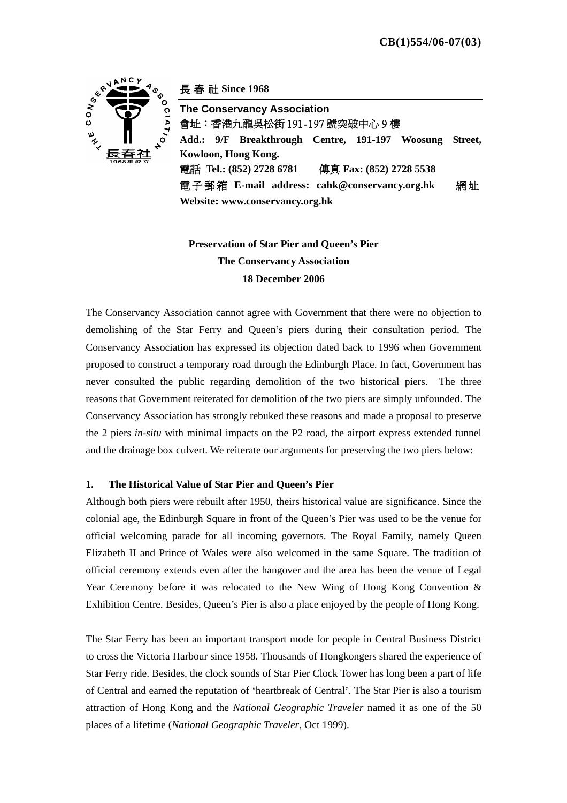

長春社 **Since 1968** 

**The Conservancy Association**  會址:香港九龍吳松街 191-197 號突破中心 9 樓 **Add.: 9/F Breakthrough Centre, 191-197 Woosung Street, Kowloon, Hong Kong.**  電話 **Tel.: (852) 2728 6781** 傳真 **Fax: (852) 2728 5538**  電子郵箱 **E-mail address: cahk@conservancy.org.hk** 網 址 **Website: www.conservancy.org.hk**

# **Preservation of Star Pier and Queen's Pier The Conservancy Association 18 December 2006**

The Conservancy Association cannot agree with Government that there were no objection to demolishing of the Star Ferry and Queen's piers during their consultation period. The Conservancy Association has expressed its objection dated back to 1996 when Government proposed to construct a temporary road through the Edinburgh Place. In fact, Government has never consulted the public regarding demolition of the two historical piers. The three reasons that Government reiterated for demolition of the two piers are simply unfounded. The Conservancy Association has strongly rebuked these reasons and made a proposal to preserve the 2 piers *in-situ* with minimal impacts on the P2 road, the airport express extended tunnel and the drainage box culvert. We reiterate our arguments for preserving the two piers below:

## **1. The Historical Value of Star Pier and Queen's Pier**

Although both piers were rebuilt after 1950, theirs historical value are significance. Since the colonial age, the Edinburgh Square in front of the Queen's Pier was used to be the venue for official welcoming parade for all incoming governors. The Royal Family, namely Queen Elizabeth II and Prince of Wales were also welcomed in the same Square. The tradition of official ceremony extends even after the hangover and the area has been the venue of Legal Year Ceremony before it was relocated to the New Wing of Hong Kong Convention & Exhibition Centre. Besides, Queen's Pier is also a place enjoyed by the people of Hong Kong.

The Star Ferry has been an important transport mode for people in Central Business District to cross the Victoria Harbour since 1958. Thousands of Hongkongers shared the experience of Star Ferry ride. Besides, the clock sounds of Star Pier Clock Tower has long been a part of life of Central and earned the reputation of 'heartbreak of Central'. The Star Pier is also a tourism attraction of Hong Kong and the *National Geographic Traveler* named it as one of the 50 places of a lifetime (*National Geographic Traveler*, Oct 1999).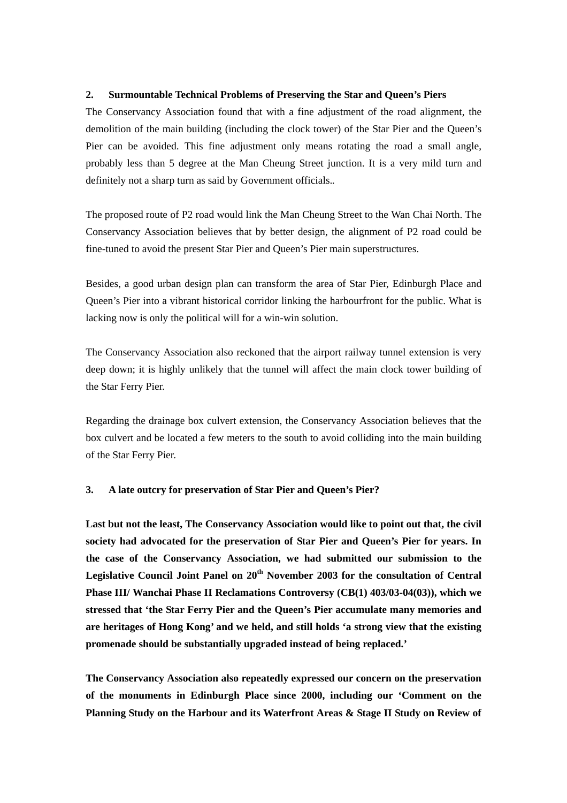## **2. Surmountable Technical Problems of Preserving the Star and Queen's Piers**

The Conservancy Association found that with a fine adjustment of the road alignment, the demolition of the main building (including the clock tower) of the Star Pier and the Queen's Pier can be avoided. This fine adjustment only means rotating the road a small angle, probably less than 5 degree at the Man Cheung Street junction. It is a very mild turn and definitely not a sharp turn as said by Government officials.*.* 

The proposed route of P2 road would link the Man Cheung Street to the Wan Chai North. The Conservancy Association believes that by better design, the alignment of P2 road could be fine-tuned to avoid the present Star Pier and Queen's Pier main superstructures.

Besides, a good urban design plan can transform the area of Star Pier, Edinburgh Place and Queen's Pier into a vibrant historical corridor linking the harbourfront for the public. What is lacking now is only the political will for a win-win solution.

The Conservancy Association also reckoned that the airport railway tunnel extension is very deep down; it is highly unlikely that the tunnel will affect the main clock tower building of the Star Ferry Pier.

Regarding the drainage box culvert extension, the Conservancy Association believes that the box culvert and be located a few meters to the south to avoid colliding into the main building of the Star Ferry Pier.

## **3. A late outcry for preservation of Star Pier and Queen's Pier?**

**Last but not the least, The Conservancy Association would like to point out that, the civil society had advocated for the preservation of Star Pier and Queen's Pier for years. In the case of the Conservancy Association, we had submitted our submission to the Legislative Council Joint Panel on 20th November 2003 for the consultation of Central Phase III/ Wanchai Phase II Reclamations Controversy (CB(1) 403/03-04(03)), which we stressed that 'the Star Ferry Pier and the Queen's Pier accumulate many memories and are heritages of Hong Kong' and we held, and still holds 'a strong view that the existing promenade should be substantially upgraded instead of being replaced.'** 

**The Conservancy Association also repeatedly expressed our concern on the preservation of the monuments in Edinburgh Place since 2000, including our 'Comment on the Planning Study on the Harbour and its Waterfront Areas & Stage II Study on Review of**